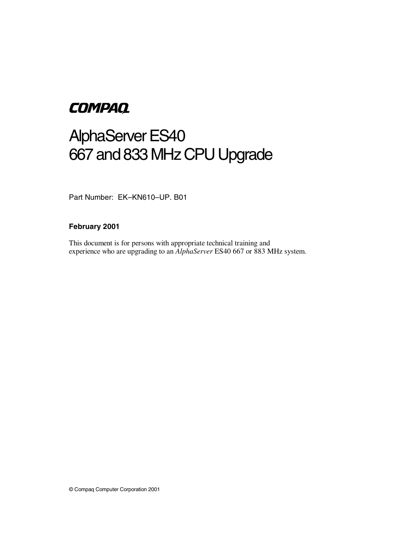# **COMPAQ**

# AlphaServer ES40 667 and 833 MHz CPU Upgrade

Part Number: EK–KN610–UP. B01

#### **February 2001**

This document is for persons with appropriate technical training and experience who are upgrading to an *AlphaServer* ES40 667 or 883 MHz system.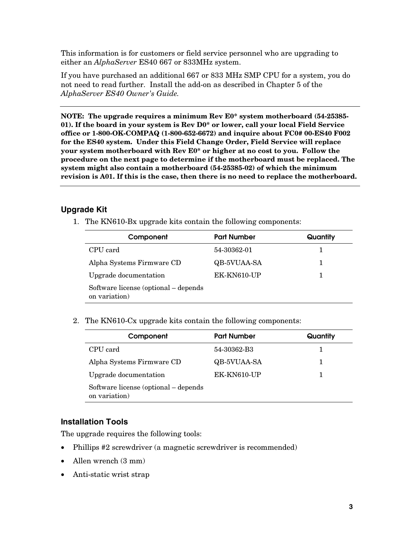This information is for customers or field service personnel who are upgrading to either an *AlphaServer* ES40 667 or 833MHz system.

If you have purchased an additional 667 or 833 MHz SMP CPU for a system, you do not need to read further. Install the add-on as described in Chapter 5 of the *AlphaServer ES40 Owner's Guide.*

**NOTE: The upgrade requires a minimum Rev E0\* system motherboard (54-25385- 01). If the board in your system is Rev D0\* or lower, call your local Field Service office or 1-800-OK-COMPAQ (1-800-652-6672) and inquire about FC0# 00-ES40 F002 for the ES40 system. Under this Field Change Order, Field Service will replace your system motherboard with Rev E0\* or higher at no cost to you. Follow the procedure on the next page to determine if the motherboard must be replaced. The system might also contain a motherboard (54-25385-02) of which the minimum revision is A01. If this is the case, then there is no need to replace the motherboard.**

## **Upgrade Kit**

1. The KN610-Bx upgrade kits contain the following components:

| Component                                             | <b>Part Number</b> | Quantity |
|-------------------------------------------------------|--------------------|----------|
| CPU card                                              | 54-30362-01        | ı        |
| Alpha Systems Firmware CD                             | QB-5VUAA-SA        | 1        |
| Upgrade documentation                                 | EK-KN610-UP        |          |
| Software license (optional – depends<br>on variation) |                    |          |

2. The KN610-Cx upgrade kits contain the following components:

| Component                                             | <b>Part Number</b> | Quantity |
|-------------------------------------------------------|--------------------|----------|
| CPU card                                              | 54-30362-B3        |          |
| Alpha Systems Firmware CD                             | QB-5VUAA-SA        |          |
| Upgrade documentation                                 | EK-KN610-UP        |          |
| Software license (optional – depends<br>on variation) |                    |          |

#### **Installation Tools**

The upgrade requires the following tools:

- Phillips #2 screwdriver (a magnetic screwdriver is recommended)
- Allen wrench (3 mm)
- Anti-static wrist strap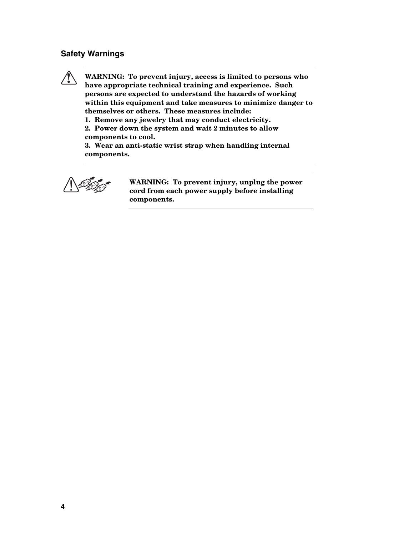### **Safety Warnings**

**! WARNING: To prevent injury, access is limited to persons who have appropriate technical training and experience. Such persons are expected to understand the hazards of working within this equipment and take measures to minimize danger to themselves or others. These measures include:**

**1. Remove any jewelry that may conduct electricity.**

**2. Power down the system and wait 2 minutes to allow components to cool.**

**3. Wear an anti-static wrist strap when handling internal components.**



**WARNING: To prevent injury, unplug the power cord from each power supply before installing components.**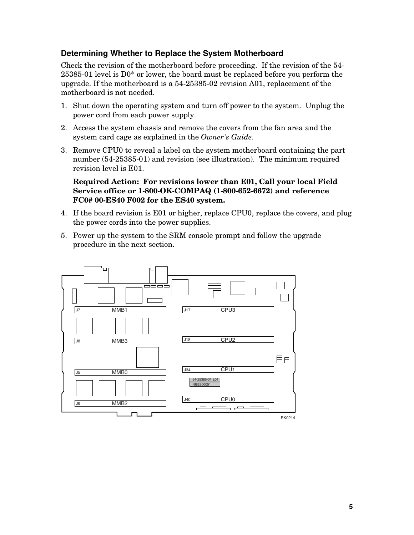### **Determining Whether to Replace the System Motherboard**

Check the revision of the motherboard before proceeding. If the revision of the 54- 25385-01 level is D0\* or lower, the board must be replaced before you perform the upgrade. If the motherboard is a 54-25385-02 revision A01, replacement of the motherboard is not needed.

- 1. Shut down the operating system and turn off power to the system. Unplug the power cord from each power supply.
- 2. Access the system chassis and remove the covers from the fan area and the system card cage as explained in the *Owner's Guide*.
- 3. Remove CPU0 to reveal a label on the system motherboard containing the part number (54-25385-01) and revision (see illustration). The minimum required revision level is E01.

#### **Required Action: For revisions lower than E01, Call your local Field Service office or 1-800-OK-COMPAQ (1-800-652-6672) and reference FC0# 00-ES40 F002 for the ES40 system.**

- 4. If the board revision is E01 or higher, replace CPU0, replace the covers, and plug the power cords into the power supplies.
- 5. Power up the system to the SRM console prompt and follow the upgrade procedure in the next section.